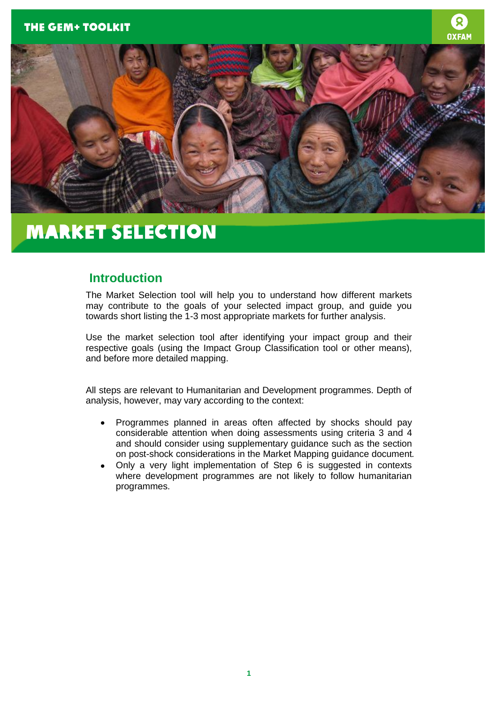



## **Introduction**

The Market Selection tool will help you to understand how different markets may contribute to the goals of your selected impact group, and guide you towards short listing the 1-3 most appropriate markets for further analysis.

Use the market selection tool after identifying your impact group and their respective goals (using the Impact Group Classification tool or other means), and before more detailed mapping.

All steps are relevant to Humanitarian and Development programmes. Depth of analysis, however, may vary according to the context:

- Programmes planned in areas often affected by shocks should pay considerable attention when doing assessments using criteria 3 and 4 and should consider using supplementary guidance such as the section on post-shock considerations in the Market Mapping guidance document*.*
- Only a very light implementation of Step 6 is suggested in contexts where development programmes are not likely to follow humanitarian programmes.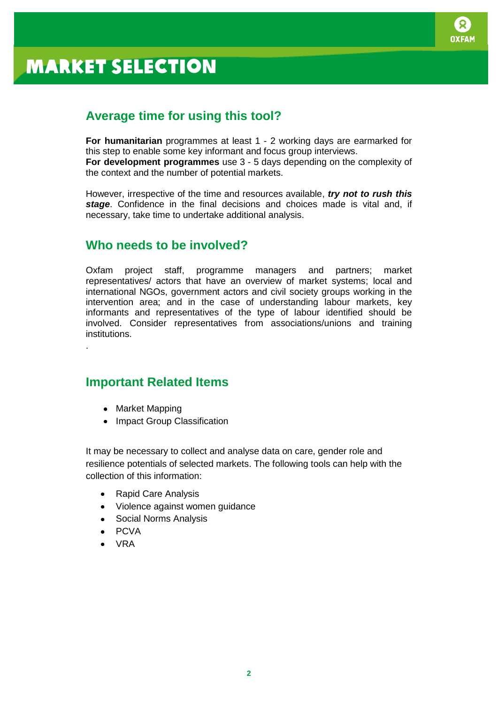

## **Average time for using this tool?**

**For humanitarian** programmes at least 1 - 2 working days are earmarked for this step to enable some key informant and focus group interviews. **For development programmes** use 3 - 5 days depending on the complexity of the context and the number of potential markets.

However, irrespective of the time and resources available, *try not to rush this stage*. Confidence in the final decisions and choices made is vital and, if necessary, take time to undertake additional analysis.

## **Who needs to be involved?**

Oxfam project staff, programme managers and partners; market representatives/ actors that have an overview of market systems; local and international NGOs, government actors and civil society groups working in the intervention area; and in the case of understanding labour markets, key informants and representatives of the type of labour identified should be involved. Consider representatives from associations/unions and training institutions.

## **Important Related Items**

• Market Mapping

.

• Impact Group Classification

It may be necessary to collect and analyse data on care, gender role and resilience potentials of selected markets. The following tools can help with the collection of this information:

- Rapid Care Analysis
- Violence against women guidance
- Social Norms Analysis
- PCVA
- VRA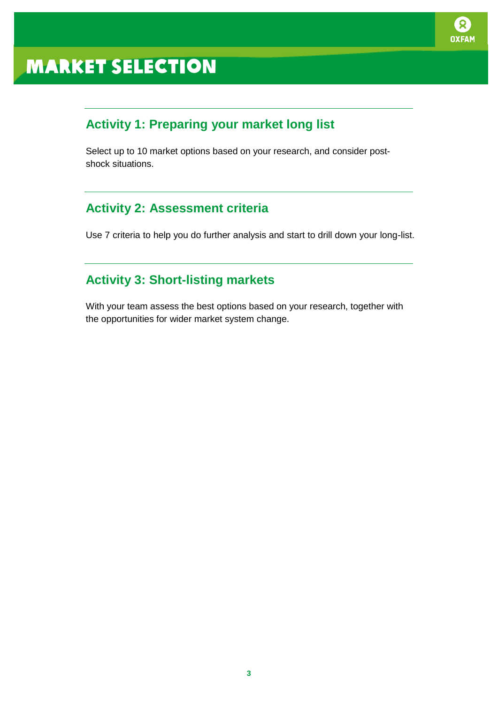

# **Activity 1: Preparing your market long list**

Select up to 10 market options based on your research, and consider postshock situations.

## **Activity 2: Assessment criteria**

Use 7 criteria to help you do further analysis and start to drill down your long-list.

## **Activity 3: Short-listing markets**

With your team assess the best options based on your research, together with the opportunities for wider market system change.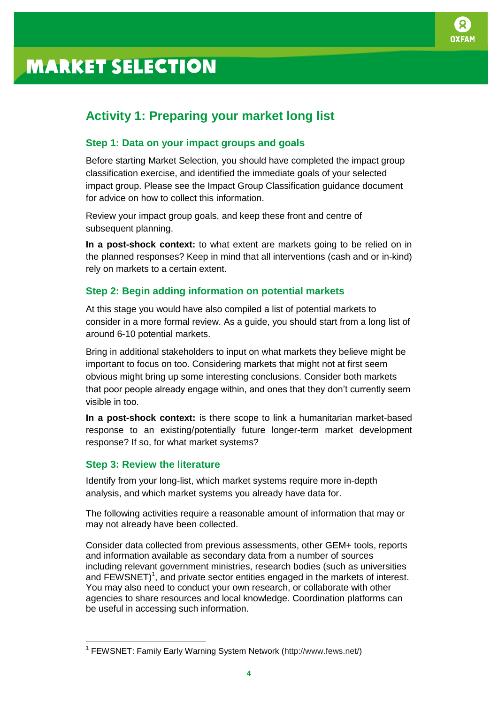

## **Activity 1: Preparing your market long list**

### **Step 1: Data on your impact groups and goals**

Before starting Market Selection, you should have completed the impact group classification exercise, and identified the immediate goals of your selected impact group. Please see the Impact Group Classification guidance document for advice on how to collect this information.

Review your impact group goals, and keep these front and centre of subsequent planning.

**In a post-shock context:** to what extent are markets going to be relied on in the planned responses? Keep in mind that all interventions (cash and or in-kind) rely on markets to a certain extent.

### **Step 2: Begin adding information on potential markets**

At this stage you would have also compiled a list of potential markets to consider in a more formal review. As a guide, you should start from a long list of around 6-10 potential markets.

Bring in additional stakeholders to input on what markets they believe might be important to focus on too. Considering markets that might not at first seem obvious might bring up some interesting conclusions. Consider both markets that poor people already engage within, and ones that they don't currently seem visible in too.

**In a post-shock context:** is there scope to link a humanitarian market-based response to an existing/potentially future longer-term market development response? If so, for what market systems?

### **Step 3: Review the literature**

 $\overline{a}$ 

Identify from your long-list, which market systems require more in-depth analysis, and which market systems you already have data for.

The following activities require a reasonable amount of information that may or may not already have been collected.

Consider data collected from previous assessments, other GEM+ tools, reports and information available as secondary data from a number of sources including relevant government ministries, research bodies (such as universities and  $FEWSNET$ <sup>1</sup>, and private sector entities engaged in the markets of interest. You may also need to conduct your own research, or collaborate with other agencies to share resources and local knowledge. Coordination platforms can be useful in accessing such information.

<sup>&</sup>lt;sup>1</sup> FEWSNET: Family Early Warning System Network [\(http://www.fews.net/\)](http://www.fews.net/)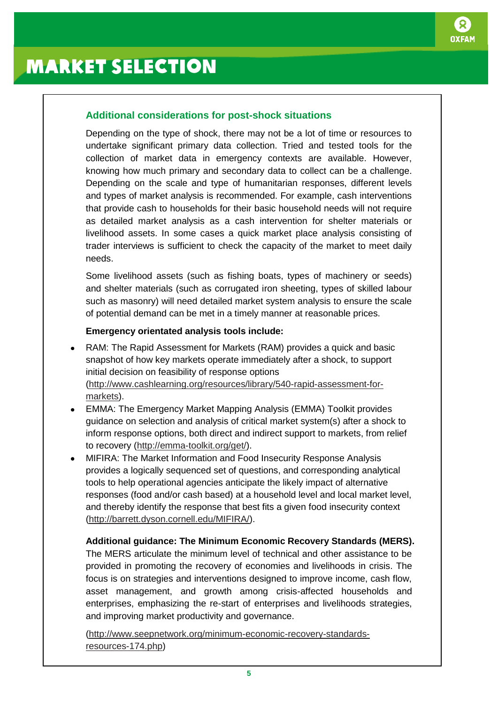

### **Additional considerations for post-shock situations**

Depending on the type of shock, there may not be a lot of time or resources to undertake significant primary data collection. Tried and tested tools for the collection of market data in emergency contexts are available. However, knowing how much primary and secondary data to collect can be a challenge. Depending on the scale and type of humanitarian responses, different levels and types of market analysis is recommended. For example, cash interventions that provide cash to households for their basic household needs will not require as detailed market analysis as a cash intervention for shelter materials or livelihood assets. In some cases a quick market place analysis consisting of trader interviews is sufficient to check the capacity of the market to meet daily needs.

Some livelihood assets (such as fishing boats, types of machinery or seeds) and shelter materials (such as corrugated iron sheeting, types of skilled labour such as masonry) will need detailed market system analysis to ensure the scale of potential demand can be met in a timely manner at reasonable prices.

### **Emergency orientated analysis tools include:**

- RAM: [The Rapid Assessment for Markets \(RAM\)](http://www.cashlearning.org/resources/library/540-rapid-assessment-for-markets) provides a quick and basic snapshot of how key markets operate immediately after a shock, to support initial decision on feasibility of response options [\(http://www.cashlearning.org/resources/library/540-rapid-assessment-for](http://www.cashlearning.org/resources/library/540-rapid-assessment-for-markets)[markets\)](http://www.cashlearning.org/resources/library/540-rapid-assessment-for-markets).
- EMMA: The Emergency Market Mapping Analysis (EMMA) Toolkit provides guidance on selection and analysis of critical market system(s) after a shock to inform response options, both direct and indirect support to markets, from relief to recovery [\(http://emma-toolkit.org/get/\)](http://emma-toolkit.org/get/).
- MIFIRA: The Market Information and Food Insecurity Response Analysis provides a logically sequenced set of questions, and corresponding analytical tools to help operational agencies anticipate the likely impact of alternative responses (food and/or cash based) at a household level and local market level, and thereby identify the response that best fits a given food insecurity context [\(http://barrett.dyson.cornell.edu/MIFIRA/\)](http://barrett.dyson.cornell.edu/MIFIRA/).

**Additional guidance: The Minimum Economic Recovery Standards (MERS).** The MERS articulate the minimum level of technical and other assistance to be provided in promoting the recovery of economies and livelihoods in crisis. The focus is on strategies and interventions designed to improve income, cash flow, asset management, and growth among crisis-affected households and enterprises, emphasizing the re-start of enterprises and livelihoods strategies, and improving market productivity and governance.

[\(http://www.seepnetwork.org/minimum-economic-recovery-standards](http://www.seepnetwork.org/minimum-economic-recovery-standards-resources-174.php)[resources-174.php\)](http://www.seepnetwork.org/minimum-economic-recovery-standards-resources-174.php)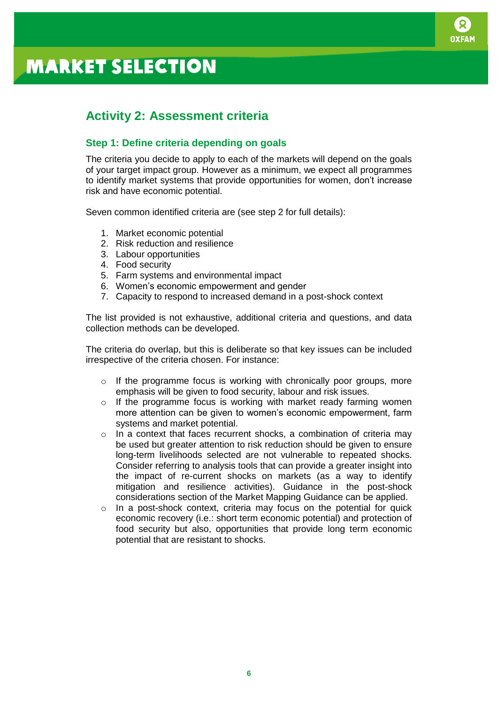

## **Activity 2: Assessment criteria**

## **Step 1: Define criteria depending on goals**

The criteria you decide to apply to each of the markets will depend on the goals of your target impact group. However as a minimum, we expect all programmes to identify market systems that provide opportunities for women, don't increase risk and have economic potential.

Seven common identified criteria are (see step 2 for full details):

- 1. Market economic potential
- 2. Risk reduction and resilience
- 3. Labour opportunities
- 4. Food security
- 5. Farm systems and environmental impact
- 6. Women's economic empowerment and gender
- 7. Capacity to respond to increased demand in a post-shock context

The list provided is not exhaustive, additional criteria and questions, and data collection methods can be developed.

The criteria do overlap, but this is deliberate so that key issues can be included irrespective of the criteria chosen. For instance:

- $\circ$  If the programme focus is working with chronically poor groups, more emphasis will be given to food security, labour and risk issues.
- o If the programme focus is working with market ready farming women more attention can be given to women's economic empowerment, farm systems and market potential.
- o In a context that faces recurrent shocks, a combination of criteria may be used but greater attention to risk reduction should be given to ensure long-term livelihoods selected are not vulnerable to repeated shocks. Consider referring to analysis tools that can provide a greater insight into the impact of re-current shocks on markets (as a way to identify mitigation and resilience activities). Guidance in the post-shock considerations section of the Market Mapping Guidance can be applied.
- o In a post-shock context, criteria may focus on the potential for quick economic recovery (i.e.: short term economic potential) and protection of food security but also, opportunities that provide long term economic potential that are resistant to shocks.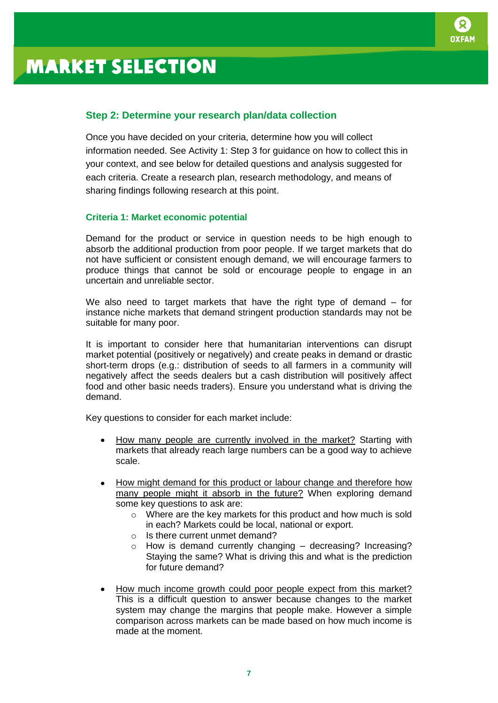

### **Step 2: Determine your research plan/data collection**

Once you have decided on your criteria, determine how you will collect information needed. See Activity 1: Step 3 for guidance on how to collect this in your context, and see below for detailed questions and analysis suggested for each criteria. Create a research plan, research methodology, and means of sharing findings following research at this point.

#### **Criteria 1: Market economic potential**

Demand for the product or service in question needs to be high enough to absorb the additional production from poor people. If we target markets that do not have sufficient or consistent enough demand, we will encourage farmers to produce things that cannot be sold or encourage people to engage in an uncertain and unreliable sector.

We also need to target markets that have the right type of demand – for instance niche markets that demand stringent production standards may not be suitable for many poor.

It is important to consider here that humanitarian interventions can disrupt market potential (positively or negatively) and create peaks in demand or drastic short-term drops (e.g.: distribution of seeds to all farmers in a community will negatively affect the seeds dealers but a cash distribution will positively affect food and other basic needs traders). Ensure you understand what is driving the demand.

Key questions to consider for each market include:

- How many people are currently involved in the market? Starting with markets that already reach large numbers can be a good way to achieve scale.
- How might demand for this product or labour change and therefore how many people might it absorb in the future? When exploring demand some key questions to ask are:
	- o Where are the key markets for this product and how much is sold in each? Markets could be local, national or export.
	- o Is there current unmet demand?
	- $\circ$  How is demand currently changing decreasing? Increasing? Staying the same? What is driving this and what is the prediction for future demand?
- How much income growth could poor people expect from this market? This is a difficult question to answer because changes to the market system may change the margins that people make. However a simple comparison across markets can be made based on how much income is made at the moment.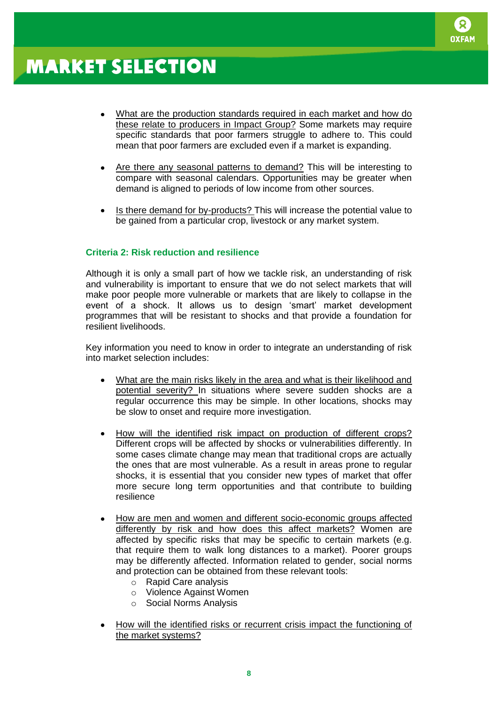

- What are the production standards required in each market and how do these relate to producers in Impact Group? Some markets may require specific standards that poor farmers struggle to adhere to. This could mean that poor farmers are excluded even if a market is expanding.
- Are there any seasonal patterns to demand? This will be interesting to compare with seasonal calendars. Opportunities may be greater when demand is aligned to periods of low income from other sources.
- Is there demand for by-products? This will increase the potential value to be gained from a particular crop, livestock or any market system.

#### **Criteria 2: Risk reduction and resilience**

Although it is only a small part of how we tackle risk, an understanding of risk and vulnerability is important to ensure that we do not select markets that will make poor people more vulnerable or markets that are likely to collapse in the event of a shock. It allows us to design 'smart' market development programmes that will be resistant to shocks and that provide a foundation for resilient livelihoods.

Key information you need to know in order to integrate an understanding of risk into market selection includes:

- What are the main risks likely in the area and what is their likelihood and potential severity? In situations where severe sudden shocks are a regular occurrence this may be simple. In other locations, shocks may be slow to onset and require more investigation.
- How will the identified risk impact on production of different crops? Different crops will be affected by shocks or vulnerabilities differently. In some cases climate change may mean that traditional crops are actually the ones that are most vulnerable. As a result in areas prone to regular shocks, it is essential that you consider new types of market that offer more secure long term opportunities and that contribute to building resilience
- How are men and women and different socio-economic groups affected differently by risk and how does this affect markets? Women are affected by specific risks that may be specific to certain markets (e.g. that require them to walk long distances to a market). Poorer groups may be differently affected. Information related to gender, social norms and protection can be obtained from these relevant tools:
	- o Rapid Care analysis
	- o Violence Against Women
	- o Social Norms Analysis
- How will the identified risks or recurrent crisis impact the functioning of the market systems?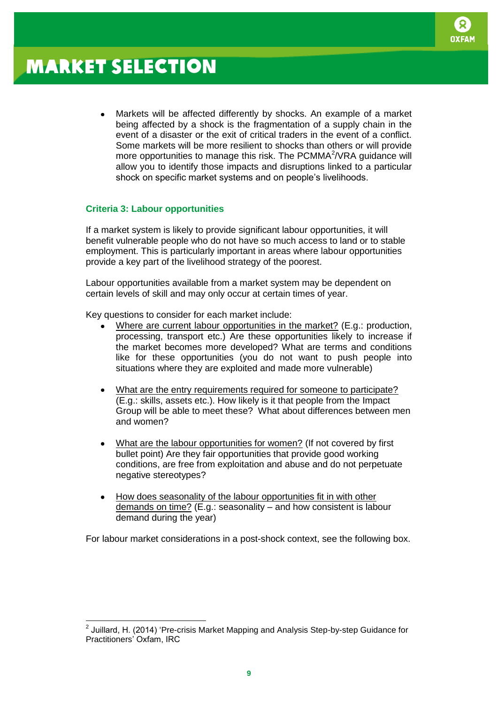

Markets will be affected differently by shocks. An example of a market being affected by a shock is the fragmentation of a supply chain in the event of a disaster or the exit of critical traders in the event of a conflict. Some markets will be more resilient to shocks than others or will provide more opportunities to manage this risk. The PCMMA<sup>2</sup>/VRA guidance will allow you to identify those impacts and disruptions linked to a particular shock on specific market systems and on people's livelihoods.

#### **Criteria 3: Labour opportunities**

If a market system is likely to provide significant labour opportunities, it will benefit vulnerable people who do not have so much access to land or to stable employment. This is particularly important in areas where labour opportunities provide a key part of the livelihood strategy of the poorest.

Labour opportunities available from a market system may be dependent on certain levels of skill and may only occur at certain times of year.

Key questions to consider for each market include:

- Where are current labour opportunities in the market? (E.g.: production, processing, transport etc.) Are these opportunities likely to increase if the market becomes more developed? What are terms and conditions like for these opportunities (you do not want to push people into situations where they are exploited and made more vulnerable)
- What are the entry requirements required for someone to participate? (E.g.: skills, assets etc.). How likely is it that people from the Impact Group will be able to meet these? What about differences between men and women?
- What are the labour opportunities for women? (If not covered by first bullet point) Are they fair opportunities that provide good working conditions, are free from exploitation and abuse and do not perpetuate negative stereotypes?
- How does seasonality of the labour opportunities fit in with other demands on time? (E.g.: seasonality – and how consistent is labour demand during the year)

For labour market considerations in a post-shock context, see the following box.

 2 Juillard, H. (2014) 'Pre-crisis Market Mapping and Analysis Step-by-step Guidance for Practitioners' Oxfam, IRC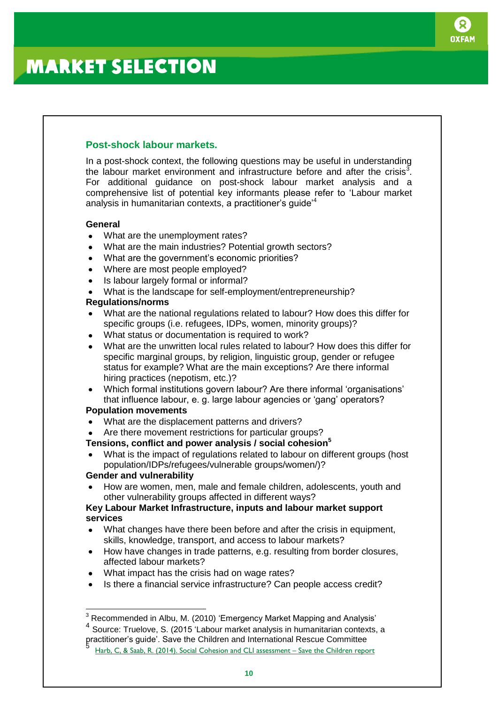

### **Post-shock labour markets.**

In a post-shock context, the following questions may be useful in understanding the labour market environment and infrastructure before and after the crisis<sup>3</sup>. For additional guidance on post-shock labour market analysis and a comprehensive list of potential key informants please refer to 'Labour market analysis in humanitarian contexts, a practitioner's guide'<sup>4</sup>

### **General**

- What are the unemployment rates?
- What are the main industries? Potential growth sectors?  $\bullet$
- What are the government's economic priorities?  $\bullet$
- Where are most people employed?
- Is labour largely formal or informal?
- What is the landscape for self-employment/entrepreneurship?

### **Regulations/norms**

- What are the national regulations related to labour? How does this differ for specific groups (i.e. refugees, IDPs, women, minority groups)?
- What status or documentation is required to work?
- What are the unwritten local rules related to labour? How does this differ for specific marginal groups, by religion, linguistic group, gender or refugee status for example? What are the main exceptions? Are there informal hiring practices (nepotism, etc.)?
- Which formal institutions govern labour? Are there informal 'organisations'  $\bullet$ that influence labour, e. g. large labour agencies or 'gang' operators?

### **Population movements**

- What are the displacement patterns and drivers?
- Are there movement restrictions for particular groups?

## **Tensions, conflict and power analysis / social cohesion<sup>5</sup>**

What is the impact of regulations related to labour on different groups (host population/IDPs/refugees/vulnerable groups/women/)?

#### **Gender and vulnerability**

How are women, men, male and female children, adolescents, youth and other vulnerability groups affected in different ways?

#### **Key Labour Market Infrastructure, inputs and labour market support services**

- What changes have there been before and after the crisis in equipment,  $\bullet$ skills, knowledge, transport, and access to labour markets?
- $\bullet$ How have changes in trade patterns, e.g. resulting from border closures, affected labour markets?
- What impact has the crisis had on wage rates?
- Is there a financial service infrastructure? Can people access credit?

4 Source: Truelove, S. (2015 'Labour market analysis in humanitarian contexts, a

  $3$  Recommended in Albu, M. (2010) 'Emergency Market Mapping and Analysis'

practitioner's guide'. Save the Children and International Rescue Committee 5

[Harb, C, & Saab, R. \(2014\). Social Cohesion and CLI assessment](https://data.unhcr.org/syrianrefugees/download.php?id=) – Save the Children report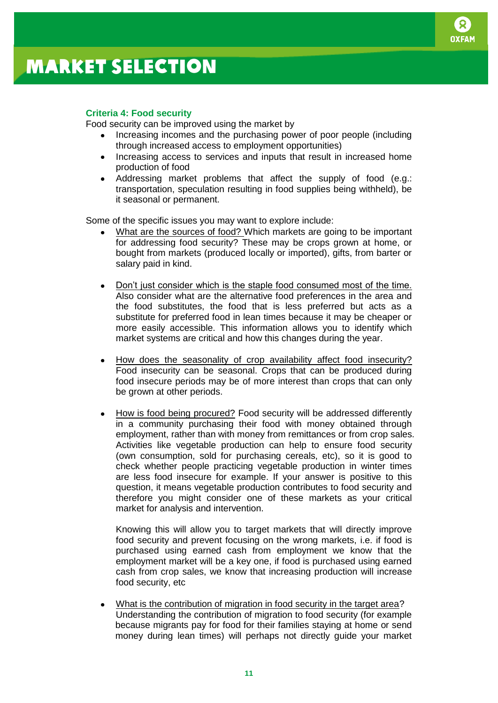

### **Criteria 4: Food security**

Food security can be improved using the market by

- Increasing incomes and the purchasing power of poor people (including through increased access to employment opportunities)
- Increasing access to services and inputs that result in increased home production of food
- Addressing market problems that affect the supply of food (e.g.: transportation, speculation resulting in food supplies being withheld), be it seasonal or permanent.

Some of the specific issues you may want to explore include:

- What are the sources of food? Which markets are going to be important for addressing food security? These may be crops grown at home, or bought from markets (produced locally or imported), gifts, from barter or salary paid in kind.
- Don't just consider which is the staple food consumed most of the time. Also consider what are the alternative food preferences in the area and the food substitutes, the food that is less preferred but acts as a substitute for preferred food in lean times because it may be cheaper or more easily accessible. This information allows you to identify which market systems are critical and how this changes during the year.
- How does the seasonality of crop availability affect food insecurity? Food insecurity can be seasonal. Crops that can be produced during food insecure periods may be of more interest than crops that can only be grown at other periods.
- How is food being procured? Food security will be addressed differently in a community purchasing their food with money obtained through employment, rather than with money from remittances or from crop sales. Activities like vegetable production can help to ensure food security (own consumption, sold for purchasing cereals, etc), so it is good to check whether people practicing vegetable production in winter times are less food insecure for example. If your answer is positive to this question, it means vegetable production contributes to food security and therefore you might consider one of these markets as your critical market for analysis and intervention.

Knowing this will allow you to target markets that will directly improve food security and prevent focusing on the wrong markets, i.e. if food is purchased using earned cash from employment we know that the employment market will be a key one, if food is purchased using earned cash from crop sales, we know that increasing production will increase food security, etc

What is the contribution of migration in food security in the target area? Understanding the contribution of migration to food security (for example because migrants pay for food for their families staying at home or send money during lean times) will perhaps not directly guide your market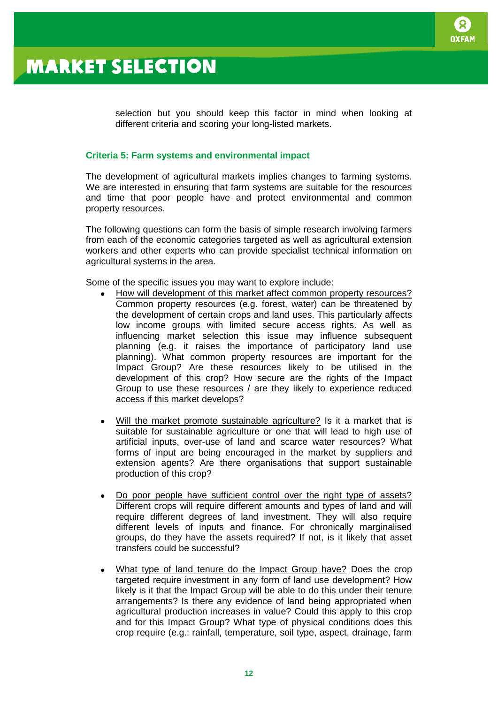

selection but you should keep this factor in mind when looking at different criteria and scoring your long-listed markets.

#### **Criteria 5: Farm systems and environmental impact**

The development of agricultural markets implies changes to farming systems. We are interested in ensuring that farm systems are suitable for the resources and time that poor people have and protect environmental and common property resources.

The following questions can form the basis of simple research involving farmers from each of the economic categories targeted as well as agricultural extension workers and other experts who can provide specialist technical information on agricultural systems in the area.

Some of the specific issues you may want to explore include:

- How will development of this market affect common property resources? Common property resources (e.g. forest, water) can be threatened by the development of certain crops and land uses. This particularly affects low income groups with limited secure access rights. As well as influencing market selection this issue may influence subsequent planning (e.g. it raises the importance of participatory land use planning). What common property resources are important for the Impact Group? Are these resources likely to be utilised in the development of this crop? How secure are the rights of the Impact Group to use these resources / are they likely to experience reduced access if this market develops?
- Will the market promote sustainable agriculture? Is it a market that is suitable for sustainable agriculture or one that will lead to high use of artificial inputs, over-use of land and scarce water resources? What forms of input are being encouraged in the market by suppliers and extension agents? Are there organisations that support sustainable production of this crop?
- Do poor people have sufficient control over the right type of assets? Different crops will require different amounts and types of land and will require different degrees of land investment. They will also require different levels of inputs and finance. For chronically marginalised groups, do they have the assets required? If not, is it likely that asset transfers could be successful?
- What type of land tenure do the Impact Group have? Does the crop targeted require investment in any form of land use development? How likely is it that the Impact Group will be able to do this under their tenure arrangements? Is there any evidence of land being appropriated when agricultural production increases in value? Could this apply to this crop and for this Impact Group? What type of physical conditions does this crop require (e.g.: rainfall, temperature, soil type, aspect, drainage, farm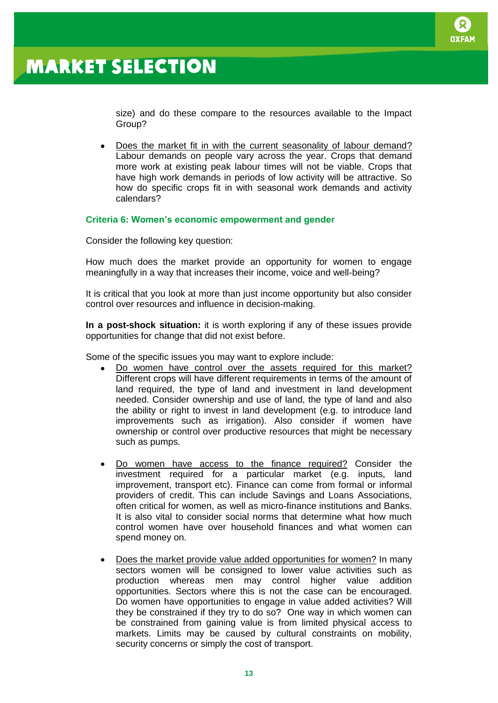

size) and do these compare to the resources available to the Impact Group?

Does the market fit in with the current seasonality of labour demand?  $\bullet$ Labour demands on people vary across the year. Crops that demand more work at existing peak labour times will not be viable. Crops that have high work demands in periods of low activity will be attractive. So how do specific crops fit in with seasonal work demands and activity calendars?

#### **Criteria 6: Women's economic empowerment and gender**

Consider the following key question:

How much does the market provide an opportunity for women to engage meaningfully in a way that increases their income, voice and well-being?

It is critical that you look at more than just income opportunity but also consider control over resources and influence in decision-making.

**In a post-shock situation:** it is worth exploring if any of these issues provide opportunities for change that did not exist before.

Some of the specific issues you may want to explore include:

- Do women have control over the assets required for this market? Different crops will have different requirements in terms of the amount of land required, the type of land and investment in land development needed. Consider ownership and use of land, the type of land and also the ability or right to invest in land development (e.g. to introduce land improvements such as irrigation). Also consider if women have ownership or control over productive resources that might be necessary such as pumps.
- Do women have access to the finance required? Consider the  $\bullet$ investment required for a particular market (e.g. inputs, land improvement, transport etc). Finance can come from formal or informal providers of credit. This can include Savings and Loans Associations, often critical for women, as well as micro-finance institutions and Banks. It is also vital to consider social norms that determine what how much control women have over household finances and what women can spend money on.
- Does the market provide value added opportunities for women? In many sectors women will be consigned to lower value activities such as production whereas men may control higher value addition opportunities. Sectors where this is not the case can be encouraged. Do women have opportunities to engage in value added activities? Will they be constrained if they try to do so? One way in which women can be constrained from gaining value is from limited physical access to markets. Limits may be caused by cultural constraints on mobility, security concerns or simply the cost of transport.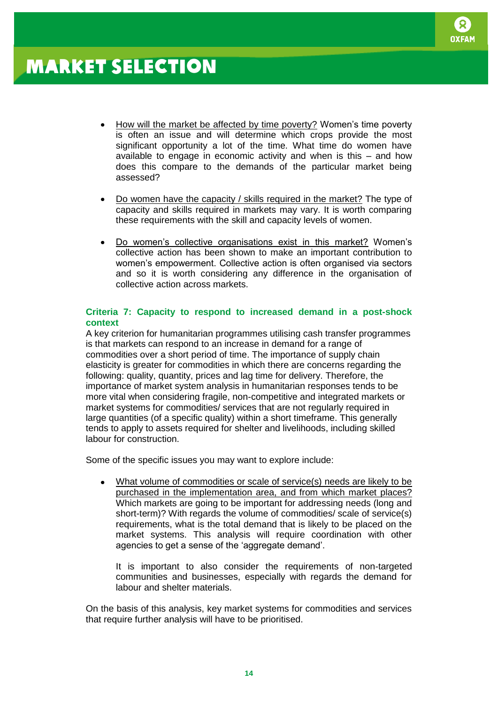

- How will the market be affected by time poverty? Women's time poverty is often an issue and will determine which crops provide the most significant opportunity a lot of the time. What time do women have available to engage in economic activity and when is this – and how does this compare to the demands of the particular market being assessed?
- Do women have the capacity / skills required in the market? The type of capacity and skills required in markets may vary. It is worth comparing these requirements with the skill and capacity levels of women.
- Do women's collective organisations exist in this market? Women's collective action has been shown to make an important contribution to women's empowerment. Collective action is often organised via sectors and so it is worth considering any difference in the organisation of collective action across markets.

### **Criteria 7: Capacity to respond to increased demand in a post-shock context**

A key criterion for humanitarian programmes utilising cash transfer programmes is that markets can respond to an increase in demand for a range of commodities over a short period of time. The importance of supply chain elasticity is greater for commodities in which there are concerns regarding the following: quality, quantity, prices and lag time for delivery. Therefore, the importance of market system analysis in humanitarian responses tends to be more vital when considering fragile, non-competitive and integrated markets or market systems for commodities/ services that are not regularly required in large quantities (of a specific quality) within a short timeframe. This generally tends to apply to assets required for shelter and livelihoods, including skilled labour for construction.

Some of the specific issues you may want to explore include:

What volume of commodities or scale of service(s) needs are likely to be purchased in the implementation area, and from which market places? Which markets are going to be important for addressing needs (long and short-term)? With regards the volume of commodities/ scale of service(s) requirements, what is the total demand that is likely to be placed on the market systems. This analysis will require coordination with other agencies to get a sense of the 'aggregate demand'.

It is important to also consider the requirements of non-targeted communities and businesses, especially with regards the demand for labour and shelter materials.

On the basis of this analysis, key market systems for commodities and services that require further analysis will have to be prioritised.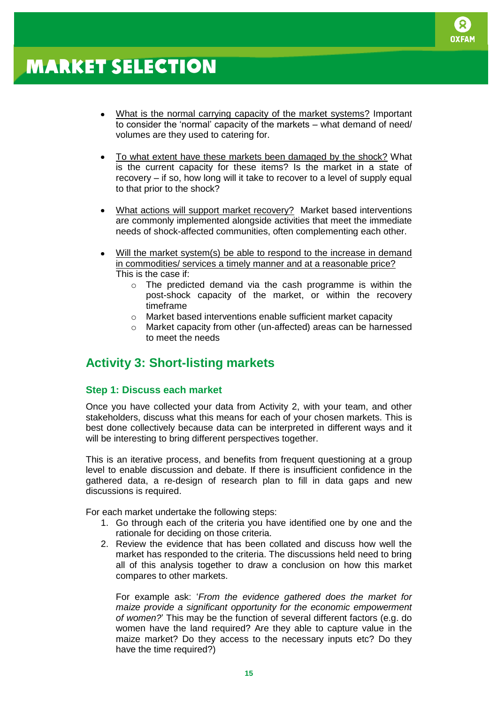

- What is the normal carrying capacity of the market systems? Important to consider the 'normal' capacity of the markets – what demand of need/ volumes are they used to catering for.
- To what extent have these markets been damaged by the shock? What is the current capacity for these items? Is the market in a state of recovery – if so, how long will it take to recover to a level of supply equal to that prior to the shock?
- What actions will support market recovery? Market based interventions are commonly implemented alongside activities that meet the immediate needs of shock-affected communities, often complementing each other.
- Will the market system(s) be able to respond to the increase in demand in commodities/ services a timely manner and at a reasonable price? This is the case if:
	- o The predicted demand via the cash programme is within the post-shock capacity of the market, or within the recovery timeframe
	- o Market based interventions enable sufficient market capacity
	- o Market capacity from other (un-affected) areas can be harnessed to meet the needs

## **Activity 3: Short-listing markets**

### **Step 1: Discuss each market**

Once you have collected your data from Activity 2, with your team, and other stakeholders, discuss what this means for each of your chosen markets. This is best done collectively because data can be interpreted in different ways and it will be interesting to bring different perspectives together.

This is an iterative process, and benefits from frequent questioning at a group level to enable discussion and debate. If there is insufficient confidence in the gathered data, a re-design of research plan to fill in data gaps and new discussions is required.

For each market undertake the following steps:

- 1. Go through each of the criteria you have identified one by one and the rationale for deciding on those criteria.
- 2. Review the evidence that has been collated and discuss how well the market has responded to the criteria. The discussions held need to bring all of this analysis together to draw a conclusion on how this market compares to other markets.

For example ask: '*From the evidence gathered does the market for maize provide a significant opportunity for the economic empowerment of women?*' This may be the function of several different factors (e.g. do women have the land required? Are they able to capture value in the maize market? Do they access to the necessary inputs etc? Do they have the time required?)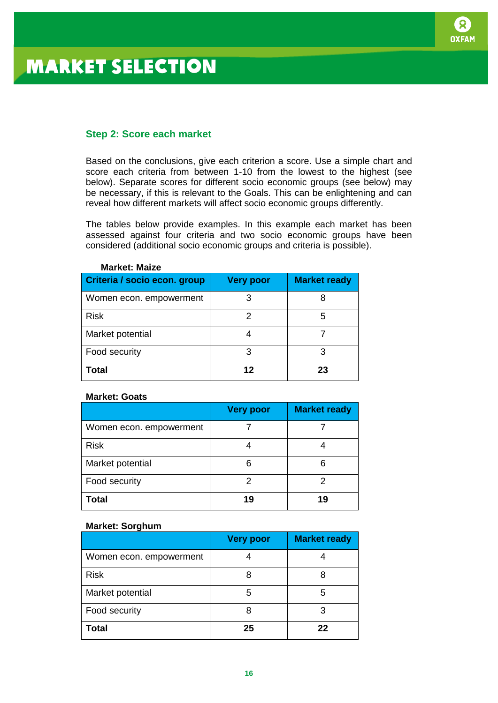

### **Step 2: Score each market**

Based on the conclusions, give each criterion a score. Use a simple chart and score each criteria from between 1-10 from the lowest to the highest (see below). Separate scores for different socio economic groups (see below) may be necessary, if this is relevant to the Goals. This can be enlightening and can reveal how different markets will affect socio economic groups differently.

The tables below provide examples. In this example each market has been assessed against four criteria and two socio economic groups have been considered (additional socio economic groups and criteria is possible).

| Criteria / socio econ. group | <b>Very poor</b> | <b>Market ready</b> |
|------------------------------|------------------|---------------------|
| Women econ. empowerment      |                  |                     |
| <b>Risk</b>                  |                  | 5                   |
| Market potential             |                  |                     |
| Food security                | 3                |                     |
| <b>Total</b>                 | 12               | 23                  |

#### **Market: Maize**

#### **Market: Goats**

|                         | <b>Very poor</b> | <b>Market ready</b> |
|-------------------------|------------------|---------------------|
| Women econ. empowerment |                  |                     |
| <b>Risk</b>             |                  |                     |
| Market potential        |                  |                     |
| Food security           |                  |                     |
| <b>Total</b>            | 19               | 19                  |

#### **Market: Sorghum**

|                         | <b>Very poor</b> | <b>Market ready</b> |
|-------------------------|------------------|---------------------|
| Women econ. empowerment |                  |                     |
| <b>Risk</b>             |                  |                     |
| Market potential        | 5                |                     |
| Food security           |                  |                     |
| <b>Total</b>            | 25               | 22                  |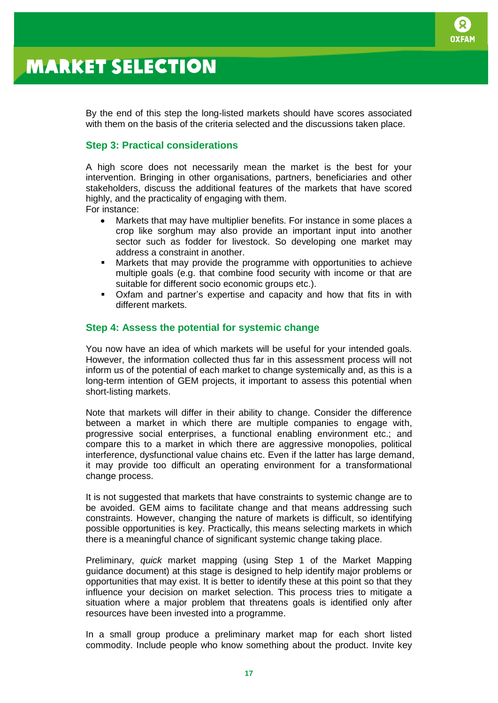

By the end of this step the long-listed markets should have scores associated with them on the basis of the criteria selected and the discussions taken place.

### **Step 3: Practical considerations**

A high score does not necessarily mean the market is the best for your intervention. Bringing in other organisations, partners, beneficiaries and other stakeholders, discuss the additional features of the markets that have scored highly, and the practicality of engaging with them. For instance:

- Markets that may have multiplier benefits. For instance in some places a crop like sorghum may also provide an important input into another sector such as fodder for livestock. So developing one market may address a constraint in another.
- Markets that may provide the programme with opportunities to achieve multiple goals (e.g. that combine food security with income or that are suitable for different socio economic groups etc.).
- Oxfam and partner's expertise and capacity and how that fits in with different markets.

#### **Step 4: Assess the potential for systemic change**

You now have an idea of which markets will be useful for your intended goals. However, the information collected thus far in this assessment process will not inform us of the potential of each market to change systemically and, as this is a long-term intention of GEM projects, it important to assess this potential when short-listing markets.

Note that markets will differ in their ability to change. Consider the difference between a market in which there are multiple companies to engage with, progressive social enterprises, a functional enabling environment etc.; and compare this to a market in which there are aggressive monopolies, political interference, dysfunctional value chains etc. Even if the latter has large demand, it may provide too difficult an operating environment for a transformational change process.

It is not suggested that markets that have constraints to systemic change are to be avoided. GEM aims to facilitate change and that means addressing such constraints. However, changing the nature of markets is difficult, so identifying possible opportunities is key. Practically, this means selecting markets in which there is a meaningful chance of significant systemic change taking place.

Preliminary, *quick* market mapping (using Step 1 of the Market Mapping guidance document) at this stage is designed to help identify major problems or opportunities that may exist. It is better to identify these at this point so that they influence your decision on market selection. This process tries to mitigate a situation where a major problem that threatens goals is identified only after resources have been invested into a programme.

In a small group produce a preliminary market map for each short listed commodity. Include people who know something about the product. Invite key